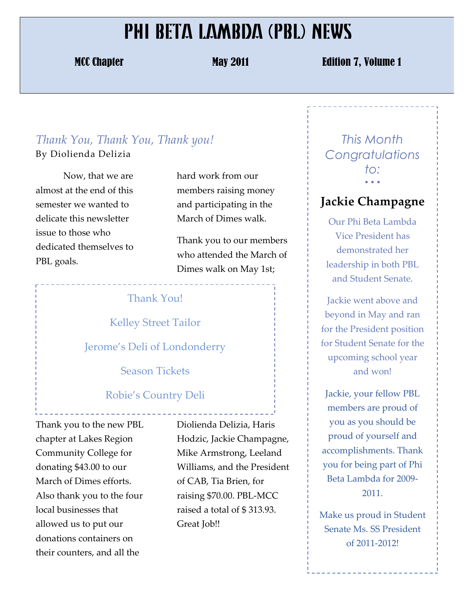## PHI BETA LAMBDA (PBL) NEWS

MCC Chapter May 2011 May 2011 **Edition 7, Volume 1** 

### *Thank&You,&Thank&You,&Thank&you!*

By!Diolienda!Delizia

Now, that we are almost at the end of this semester we wanted to delicate this newsletter issue to those who dedicated themselves to PBL goals.

hard work from our members raising money and participating in the March of Dimes walk.

Thank you to our members who attended the March of Dimes walk on May 1st;

#### Thank You!

**Kelley Street Tailor** 

Jerome's Deli of Londonderry

Season Tickets

#### Robie's Country Deli

Thank you to the new PBL chapter at Lakes Region Community!College for! donating \$43.00 to our March of Dimes efforts. Also thank you to the four local businesses that allowed us to put our donations containers on their counters, and all the

Diolienda Delizia, Haris Hodzic, Jackie Champagne, Mike Armstrong, Leeland Williams, and the President of CAB, Tia Brien, for raising \$70.00. PBL-MCC raised a total of \$313.93. Great Job!!

*This Month Congratulations to:* • • •

#### **Jackie'Champagne**

Our Phi Beta Lambda Vice President has demonstrated her leadership in both PBL and Student Senate.

Jackie went above and beyond in May and ran for the President position for Student Senate for the upcoming school year and won!

Jackie, your fellow PBL members are proud of you as you should be proud of yourself and accomplishments. Thank you for being part of Phi Beta Lambda for 2009-2011.

Make us proud in Student Senate Ms. SS President of 2011-2012!